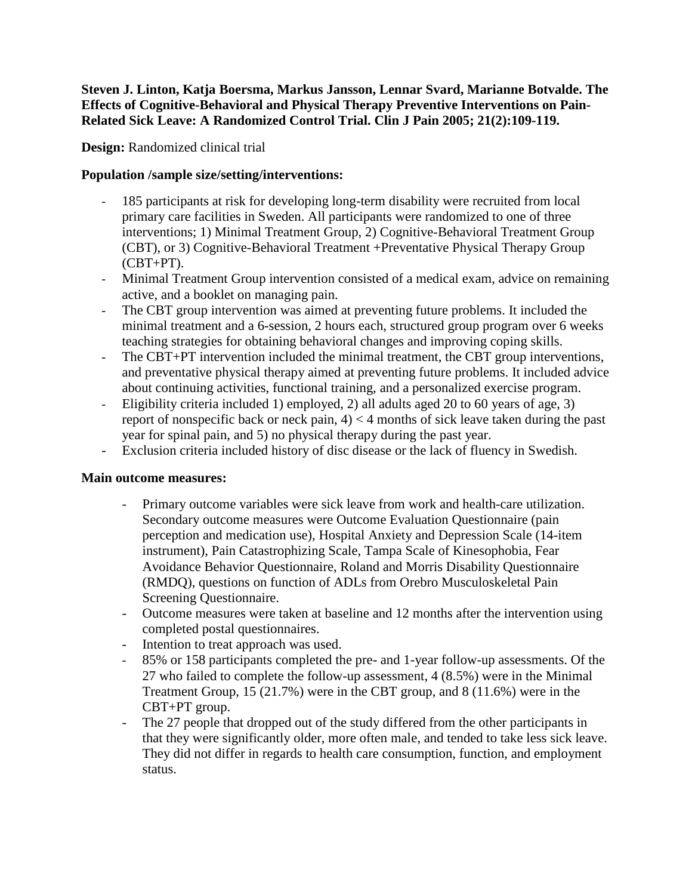**Steven J. Linton, Katja Boersma, Markus Jansson, Lennar Svard, Marianne Botvalde. The Effects of Cognitive-Behavioral and Physical Therapy Preventive Interventions on Pain-Related Sick Leave: A Randomized Control Trial. Clin J Pain 2005; 21(2):109-119.**

**Design:** Randomized clinical trial

# **Population /sample size/setting/interventions:**

- 185 participants at risk for developing long-term disability were recruited from local primary care facilities in Sweden. All participants were randomized to one of three interventions; 1) Minimal Treatment Group, 2) Cognitive-Behavioral Treatment Group (CBT), or 3) Cognitive-Behavioral Treatment +Preventative Physical Therapy Group (CBT+PT).
- Minimal Treatment Group intervention consisted of a medical exam, advice on remaining active, and a booklet on managing pain.
- The CBT group intervention was aimed at preventing future problems. It included the minimal treatment and a 6-session, 2 hours each, structured group program over 6 weeks teaching strategies for obtaining behavioral changes and improving coping skills.
- The CBT+PT intervention included the minimal treatment, the CBT group interventions, and preventative physical therapy aimed at preventing future problems. It included advice about continuing activities, functional training, and a personalized exercise program.
- Eligibility criteria included 1) employed, 2) all adults aged 20 to 60 years of age, 3) report of nonspecific back or neck pain,  $4$   $\leq$  4 months of sick leave taken during the past year for spinal pain, and 5) no physical therapy during the past year.
- Exclusion criteria included history of disc disease or the lack of fluency in Swedish.

### **Main outcome measures:**

- Primary outcome variables were sick leave from work and health-care utilization. Secondary outcome measures were Outcome Evaluation Questionnaire (pain perception and medication use), Hospital Anxiety and Depression Scale (14-item instrument), Pain Catastrophizing Scale, Tampa Scale of Kinesophobia, Fear Avoidance Behavior Questionnaire, Roland and Morris Disability Questionnaire (RMDQ), questions on function of ADLs from Orebro Musculoskeletal Pain Screening Questionnaire.
- Outcome measures were taken at baseline and 12 months after the intervention using completed postal questionnaires.
- Intention to treat approach was used.
- 85% or 158 participants completed the pre- and 1-year follow-up assessments. Of the 27 who failed to complete the follow-up assessment, 4 (8.5%) were in the Minimal Treatment Group, 15 (21.7%) were in the CBT group, and 8 (11.6%) were in the CBT+PT group.
- The 27 people that dropped out of the study differed from the other participants in that they were significantly older, more often male, and tended to take less sick leave. They did not differ in regards to health care consumption, function, and employment status.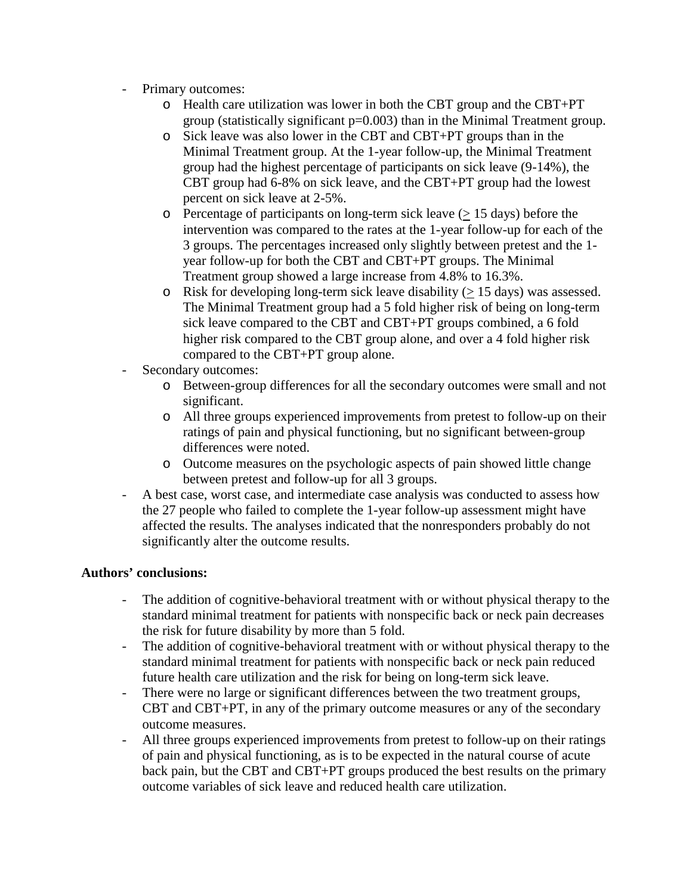- Primary outcomes:
	- o Health care utilization was lower in both the CBT group and the CBT+PT group (statistically significant p=0.003) than in the Minimal Treatment group.
	- o Sick leave was also lower in the CBT and CBT+PT groups than in the Minimal Treatment group. At the 1-year follow-up, the Minimal Treatment group had the highest percentage of participants on sick leave (9-14%), the CBT group had 6-8% on sick leave, and the CBT+PT group had the lowest percent on sick leave at 2-5%.
	- $\circ$  Percentage of participants on long-term sick leave ( $> 15$  days) before the intervention was compared to the rates at the 1-year follow-up for each of the 3 groups. The percentages increased only slightly between pretest and the 1 year follow-up for both the CBT and CBT+PT groups. The Minimal Treatment group showed a large increase from 4.8% to 16.3%.
	- $\circ$  Risk for developing long-term sick leave disability ( $> 15$  days) was assessed. The Minimal Treatment group had a 5 fold higher risk of being on long-term sick leave compared to the CBT and CBT+PT groups combined, a 6 fold higher risk compared to the CBT group alone, and over a 4 fold higher risk compared to the CBT+PT group alone.
- Secondary outcomes:
	- o Between-group differences for all the secondary outcomes were small and not significant.
	- o All three groups experienced improvements from pretest to follow-up on their ratings of pain and physical functioning, but no significant between-group differences were noted.
	- o Outcome measures on the psychologic aspects of pain showed little change between pretest and follow-up for all 3 groups.
- A best case, worst case, and intermediate case analysis was conducted to assess how the 27 people who failed to complete the 1-year follow-up assessment might have affected the results. The analyses indicated that the nonresponders probably do not significantly alter the outcome results.

### **Authors' conclusions:**

- The addition of cognitive-behavioral treatment with or without physical therapy to the standard minimal treatment for patients with nonspecific back or neck pain decreases the risk for future disability by more than 5 fold.
- The addition of cognitive-behavioral treatment with or without physical therapy to the standard minimal treatment for patients with nonspecific back or neck pain reduced future health care utilization and the risk for being on long-term sick leave.
- There were no large or significant differences between the two treatment groups, CBT and CBT+PT, in any of the primary outcome measures or any of the secondary outcome measures.
- All three groups experienced improvements from pretest to follow-up on their ratings of pain and physical functioning, as is to be expected in the natural course of acute back pain, but the CBT and CBT+PT groups produced the best results on the primary outcome variables of sick leave and reduced health care utilization.